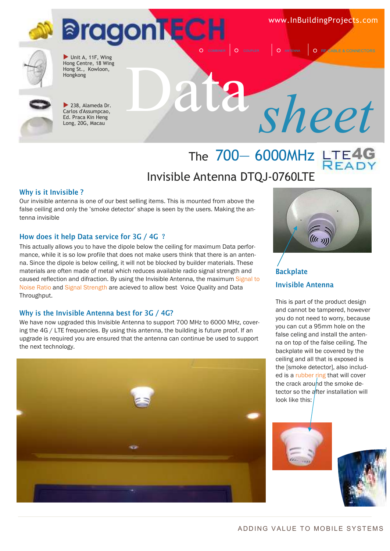www.InBuildingProjects.com

**O** RF CABLE & CONNECTORS





Unit A, 11F, Wing Hong Centre, 18 Wing Hong St., Kowloon,<br>Hongkong



238, Alameda Dr. Carlos d'Assumpcao, Ed. Praca Kin Heng Long, 20G, Macau

# DATENNA ORF CABLE & CONNECTORS

### The 700-6000MHz LTE4 Invisible Antenna DTQJ-0760LTE

#### **Why is it Invisible ?**

Our invisible antenna is one of our best selling items. This is mounted from above the false ceiling and only the 'smoke detector' shape is seen by the users. Making the antenna invisible

#### **How does it help Data service for 3G / 4G**?

This actually allows you to have the dipole below the ceiling for maximum Data performance, while it is so low profile that does not make users think that there is an antenna. Since the dipole is below ceiling, it will not be blocked by builder materials. These materials are often made of metal which reduces available radio signal strength and caused reflection and difraction. By using the Invisible Antenna, the maximum Signal to Noise Ratio and Signal Strength are acieved to allow best Voice Quality and Data Throughput.

#### **Why is the Invisible Antenna best for 3G / 4G?**

We have now upgraded this Invisible Antenna to support 700 MHz to 6000 MHz, covering the 4G / LTE frequencies. By using this antenna, the building is future proof. If an upgrade is required you are ensured that the antenna can continue be used to support the next technology.





#### **Backplate Invisible Antenna**

This is part of the product design and cannot be tampered, however you do not need to worry, because you can cut a 95mm hole on the false celing and install the antenna on top of the false ceiling. The backplate will be covered by the ceiling and all that is exposed is the [smoke detector], also included is a rubber ring that will cover the crack around the smoke detector so the after installation will look like this: